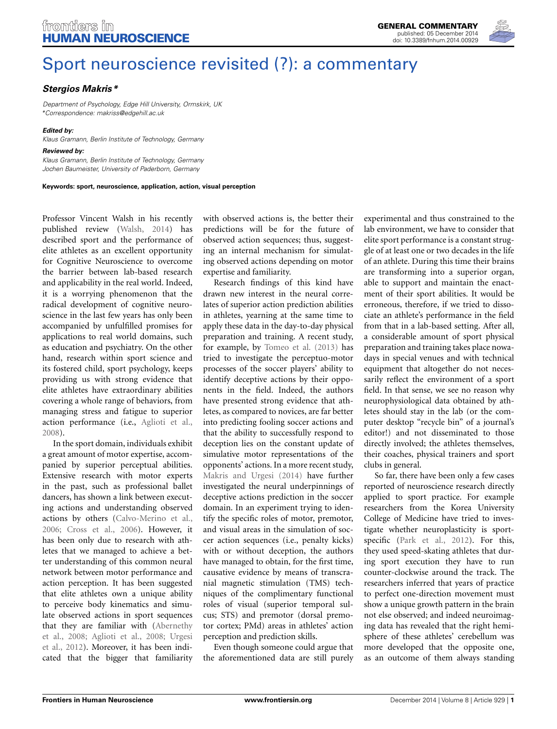

# [Sport neuroscience revisited \(?\): a commentary](http://www.frontiersin.org/journal/10.3389/fnhum.2014.00929/full)

## *[Stergios Makris](http://community.frontiersin.org/people/u/118594)\**

*Department of Psychology, Edge Hill University, Ormskirk, UK \*Correspondence: [makriss@edgehill.ac.uk](mailto:makriss@edgehill.ac.uk)*

#### *Edited by:*

*Klaus Gramann, Berlin Institute of Technology, Germany*

#### *Reviewed by:*

*Klaus Gramann, Berlin Institute of Technology, Germany Jochen Baumeister, University of Paderborn, Germany*

**Keywords: sport, neuroscience, application, action, visual perception**

Professor Vincent Walsh in his recently published review [\(Walsh, 2014\)](#page-1-0) has described sport and the performance of elite athletes as an excellent opportunity for Cognitive Neuroscience to overcome the barrier between lab-based research and applicability in the real world. Indeed, it is a worrying phenomenon that the radical development of cognitive neuroscience in the last few years has only been accompanied by unfulfilled promises for applications to real world domains, such as education and psychiatry. On the other hand, research within sport science and its fostered child, sport psychology, keeps providing us with strong evidence that elite athletes have extraordinary abilities covering a whole range of behaviors, from managing stress and fatigue to superior action performance (i.e., [Aglioti et al.,](#page-1-1) [2008](#page-1-1)).

In the sport domain, individuals exhibit a great amount of motor expertise, accompanied by superior perceptual abilities. Extensive research with motor experts in the past, such as professional ballet dancers, has shown a link between executing actions and understanding observed actions by others [\(Calvo-Merino et al.,](#page-1-2) [2006](#page-1-2); [Cross et al., 2006](#page-1-3)). However, it has been only due to research with athletes that we managed to achieve a better understanding of this common neural network between motor performance and action perception. It has been suggested that elite athletes own a unique ability to perceive body kinematics and simulate observed actions in sport sequences that [they](#page-1-4) [are](#page-1-4) [familiar](#page-1-4) [with](#page-1-4) [\(](#page-1-4)Abernethy et al[.,](#page-1-5) [2008](#page-1-4)[;](#page-1-5) [Aglioti et al.](#page-1-1)[,](#page-1-5) [2008;](#page-1-1) Urgesi et al., [2012\)](#page-1-5). Moreover, it has been indicated that the bigger that familiarity

with observed actions is, the better their predictions will be for the future of observed action sequences; thus, suggesting an internal mechanism for simulating observed actions depending on motor expertise and familiarity.

Research findings of this kind have drawn new interest in the neural correlates of superior action prediction abilities in athletes, yearning at the same time to apply these data in the day-to-day physical preparation and training. A recent study, for example, by [Tomeo et al.](#page-1-6) [\(2013\)](#page-1-6) has tried to investigate the perceptuo-motor processes of the soccer players' ability to identify deceptive actions by their opponents in the field. Indeed, the authors have presented strong evidence that athletes, as compared to novices, are far better into predicting fooling soccer actions and that the ability to successfully respond to deception lies on the constant update of simulative motor representations of the opponents' actions. In a more recent study, [Makris and Urgesi](#page-1-7) [\(2014\)](#page-1-7) have further investigated the neural underpinnings of deceptive actions prediction in the soccer domain. In an experiment trying to identify the specific roles of motor, premotor, and visual areas in the simulation of soccer action sequences (i.e., penalty kicks) with or without deception, the authors have managed to obtain, for the first time, causative evidence by means of transcranial magnetic stimulation (TMS) techniques of the complimentary functional roles of visual (superior temporal sulcus; STS) and premotor (dorsal premotor cortex; PMd) areas in athletes' action perception and prediction skills.

Even though someone could argue that the aforementioned data are still purely experimental and thus constrained to the lab environment, we have to consider that elite sport performance is a constant struggle of at least one or two decades in the life of an athlete. During this time their brains are transforming into a superior organ, able to support and maintain the enactment of their sport abilities. It would be erroneous, therefore, if we tried to dissociate an athlete's performance in the field from that in a lab-based setting. After all, a considerable amount of sport physical preparation and training takes place nowadays in special venues and with technical equipment that altogether do not necessarily reflect the environment of a sport field. In that sense, we see no reason why neurophysiological data obtained by athletes should stay in the lab (or the computer desktop "recycle bin" of a journal's editor!) and not disseminated to those directly involved; the athletes themselves, their coaches, physical trainers and sport clubs in general.

So far, there have been only a few cases reported of neuroscience research directly applied to sport practice. For example researchers from the Korea University College of Medicine have tried to investigate whether neuroplasticity is sportspecific [\(Park et al.](#page-1-8), [2012](#page-1-8)). For this, they used speed-skating athletes that during sport execution they have to run counter-clockwise around the track. The researchers inferred that years of practice to perfect one-direction movement must show a unique growth pattern in the brain not else observed; and indeed neuroimaging data has revealed that the right hemisphere of these athletes' cerebellum was more developed that the opposite one, as an outcome of them always standing